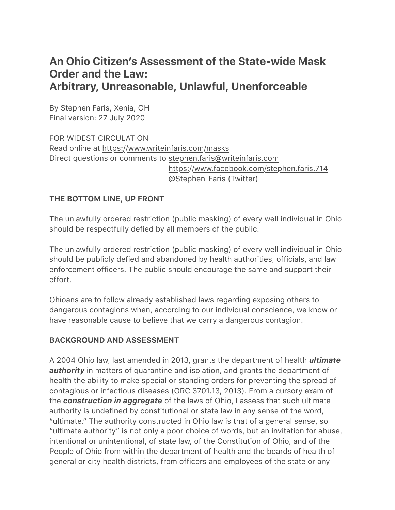# An Ohio Citizen's Assessment of the State-wide Mask Order and the Law: Arbitrary, Unreasonable, Unlawful, Unenforceable

By Stephen Faris, Xenia, OH Final version: 27 July 2020

FOR WIDEST CIRCULATION Read online at https://www.writeinfaris.com/masks Direct questions or comments to stephen.faris@writeinfaris.com https://www.facebook.com/stephen.faris.714 @Stephen\_Faris (Twitter)

### THE BOTTOM LINE, UP FRONT

The unlawfully ordered restriction (public masking) of every well individual in Ohio should be respectfully defied by all members of the public.

The unlawfully ordered restriction (public masking) of every well individual in Ohio should be publicly defied and abandoned by health authorities, officials, and law enforcement officers. The public should encourage the same and support their effort.

Ohioans are to follow already established laws regarding exposing others to dangerous contagions when, according to our individual conscience, we know or have reasonable cause to believe that we carry a dangerous contagion.

#### BACKGROUND AND ASSESSMENT

A 2004 Ohio law, last amended in 2013, grants the department of health *ultimate authority* in matters of quarantine and isolation, and grants the department of health the ability to make special or standing orders for preventing the spread of contagious or infectious diseases (ORC 3701.13, 2013). From a cursory exam of the *construction in aggregate* of the laws of Ohio, I assess that such ultimate authority is undefined by constitutional or state law in any sense of the word, "ultimate." The authority constructed in Ohio law is that of a general sense, so "ultimate authority" is not only a poor choice of words, but an invitation for abuse, intentional or unintentional, of state law, of the Constitution of Ohio, and of the People of Ohio from within the department of health and the boards of health of general or city health districts, from officers and employees of the state or any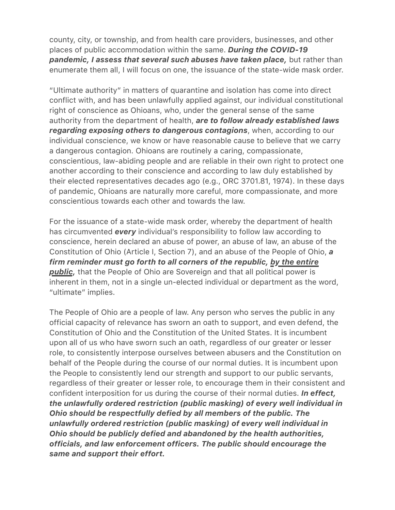county, city, or township, and from health care providers, businesses, and other places of public accommodation within the same. *During the COVID-19 pandemic, I assess that several such abuses have taken place,* but rather than enumerate them all, I will focus on one, the issuance of the state-wide mask order.

"Ultimate authority" in matters of quarantine and isolation has come into direct conflict with, and has been unlawfully applied against, our individual constitutional right of conscience as Ohioans, who, under the general sense of the same authority from the department of health, *are to follow already established laws regarding exposing others to dangerous contagions*, when, according to our individual conscience, we know or have reasonable cause to believe that we carry a dangerous contagion. Ohioans are routinely a caring, compassionate, conscientious, law-abiding people and are reliable in their own right to protect one another according to their conscience and according to law duly established by their elected representatives decades ago (e.g., ORC 3701.81, 1974). In these days of pandemic, Ohioans are naturally more careful, more compassionate, and more conscientious towards each other and towards the law.

For the issuance of a state-wide mask order, whereby the department of health has circumvented *every* individual's responsibility to follow law according to conscience, herein declared an abuse of power, an abuse of law, an abuse of the Constitution of Ohio (Article I, Section 7), and an abuse of the People of Ohio, *a firm reminder must go forth to all corners of the republic, by the entire public,* that the People of Ohio are Sovereign and that all political power is inherent in them, not in a single un-elected individual or department as the word, "ultimate" implies.

The People of Ohio are a people of law. Any person who serves the public in any official capacity of relevance has sworn an oath to support, and even defend, the Constitution of Ohio and the Constitution of the United States. It is incumbent upon all of us who have sworn such an oath, regardless of our greater or lesser role, to consistently interpose ourselves between abusers and the Constitution on behalf of the People during the course of our normal duties. It is incumbent upon the People to consistently lend our strength and support to our public servants, regardless of their greater or lesser role, to encourage them in their consistent and confident interposition for us during the course of their normal duties. *In effect, the unlawfully ordered restriction (public masking) of every well individual in Ohio should be respectfully defied by all members of the public. The unlawfully ordered restriction (public masking) of every well individual in Ohio should be publicly defied and abandoned by the health authorities, officials, and law enforcement officers. The public should encourage the same and support their effort.*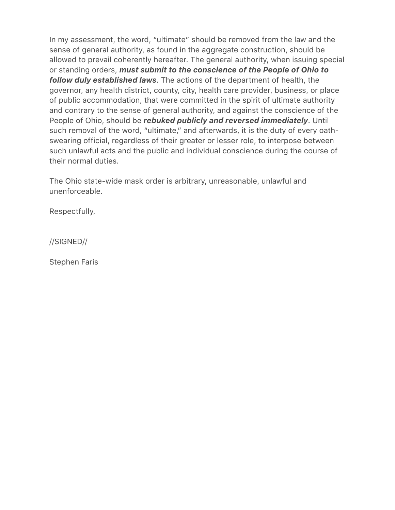In my assessment, the word, "ultimate" should be removed from the law and the sense of general authority, as found in the aggregate construction, should be allowed to prevail coherently hereafter. The general authority, when issuing special or standing orders, *must submit to the conscience of the People of Ohio to follow duly established laws*. The actions of the department of health, the governor, any health district, county, city, health care provider, business, or place of public accommodation, that were committed in the spirit of ultimate authority and contrary to the sense of general authority, and against the conscience of the People of Ohio, should be *rebuked publicly and reversed immediately*. Until such removal of the word, "ultimate," and afterwards, it is the duty of every oathswearing official, regardless of their greater or lesser role, to interpose between such unlawful acts and the public and individual conscience during the course of their normal duties.

The Ohio state-wide mask order is arbitrary, unreasonable, unlawful and unenforceable.

Respectfully,

//SIGNED//

Stephen Faris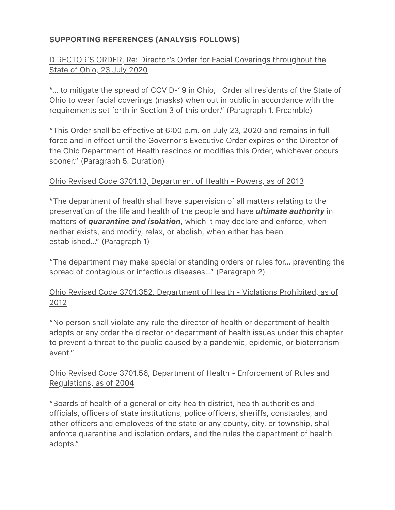# SUPPORTING REFERENCES (ANALYSIS FOLLOWS)

## DIRECTOR'S ORDER, Re: Director's Order for Facial Coverings throughout the State of Ohio, 23 July 2020

"… to mitigate the spread of COVID-19 in Ohio, I Order all residents of the State of Ohio to wear facial coverings (masks) when out in public in accordance with the requirements set forth in Section 3 of this order." (Paragraph 1. Preamble)

"This Order shall be effective at 6:00 p.m. on July 23, 2020 and remains in full force and in effect until the Governor's Executive Order expires or the Director of the Ohio Department of Health rescinds or modifies this Order, whichever occurs sooner." (Paragraph 5. Duration)

#### Ohio Revised Code 3701.13, Department of Health - Powers, as of 2013

"The department of health shall have supervision of all matters relating to the preservation of the life and health of the people and have *ultimate authority* in matters of *quarantine and isolation*, which it may declare and enforce, when neither exists, and modify, relax, or abolish, when either has been established…" (Paragraph 1)

"The department may make special or standing orders or rules for… preventing the spread of contagious or infectious diseases…" (Paragraph 2)

## Ohio Revised Code 3701.352, Department of Health - Violations Prohibited, as of 2012

"No person shall violate any rule the director of health or department of health adopts or any order the director or department of health issues under this chapter to prevent a threat to the public caused by a pandemic, epidemic, or bioterrorism event."

### Ohio Revised Code 3701.56, Department of Health - Enforcement of Rules and Regulations, as of 2004

"Boards of health of a general or city health district, health authorities and officials, officers of state institutions, police officers, sheriffs, constables, and other officers and employees of the state or any county, city, or township, shall enforce quarantine and isolation orders, and the rules the department of health adopts."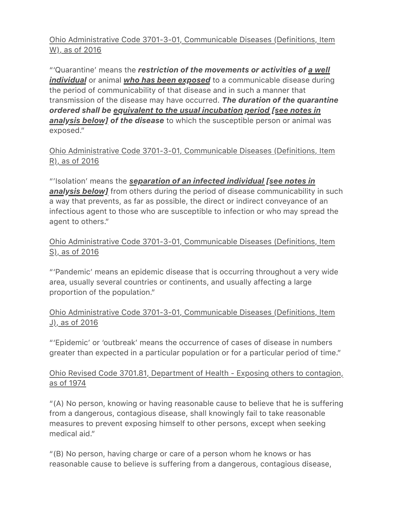Ohio Administrative Code 3701-3-01, Communicable Diseases (Definitions, Item W), as of 2016

"'Quarantine' means the *restriction of the movements or activities of a well individual* or animal *who has been exposed* to a communicable disease during the period of communicability of that disease and in such a manner that transmission of the disease may have occurred. *The duration of the quarantine ordered shall be equivalent to the usual incubation period [see notes in analysis below] of the disease* to which the susceptible person or animal was exposed."

Ohio Administrative Code 3701-3-01, Communicable Diseases (Definitions, Item R), as of 2016

"'Isolation' means the *separation of an infected individual [see notes in*  **analysis below]** from others during the period of disease communicability in such a way that prevents, as far as possible, the direct or indirect conveyance of an infectious agent to those who are susceptible to infection or who may spread the agent to others."

Ohio Administrative Code 3701-3-01, Communicable Diseases (Definitions, Item S), as of 2016

"'Pandemic' means an epidemic disease that is occurring throughout a very wide area, usually several countries or continents, and usually affecting a large proportion of the population."

## Ohio Administrative Code 3701-3-01, Communicable Diseases (Definitions, Item J), as of 2016

"'Epidemic' or 'outbreak' means the occurrence of cases of disease in numbers greater than expected in a particular population or for a particular period of time."

## Ohio Revised Code 3701.81, Department of Health - Exposing others to contagion, as of 1974

"(A) No person, knowing or having reasonable cause to believe that he is suffering from a dangerous, contagious disease, shall knowingly fail to take reasonable measures to prevent exposing himself to other persons, except when seeking medical aid."

"(B) No person, having charge or care of a person whom he knows or has reasonable cause to believe is suffering from a dangerous, contagious disease,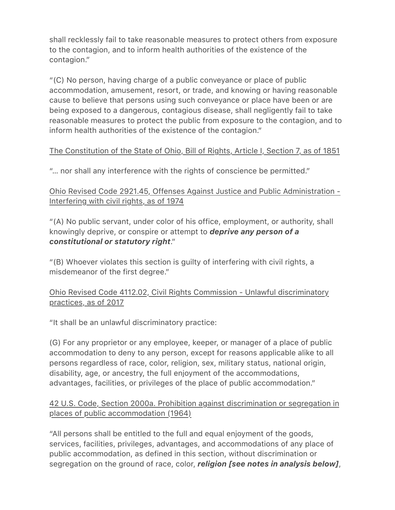shall recklessly fail to take reasonable measures to protect others from exposure to the contagion, and to inform health authorities of the existence of the contagion."

"(C) No person, having charge of a public conveyance or place of public accommodation, amusement, resort, or trade, and knowing or having reasonable cause to believe that persons using such conveyance or place have been or are being exposed to a dangerous, contagious disease, shall negligently fail to take reasonable measures to protect the public from exposure to the contagion, and to inform health authorities of the existence of the contagion."

# The Constitution of the State of Ohio, Bill of Rights, Article I, Section 7, as of 1851

"… nor shall any interference with the rights of conscience be permitted."

Ohio Revised Code 2921.45, Offenses Against Justice and Public Administration - Interfering with civil rights, as of 1974

"(A) No public servant, under color of his office, employment, or authority, shall knowingly deprive, or conspire or attempt to *deprive any person of a constitutional or statutory right*."

"(B) Whoever violates this section is guilty of interfering with civil rights, a misdemeanor of the first degree."

# Ohio Revised Code 4112.02, Civil Rights Commission - Unlawful discriminatory practices, as of 2017

"It shall be an unlawful discriminatory practice:

(G) For any proprietor or any employee, keeper, or manager of a place of public accommodation to deny to any person, except for reasons applicable alike to all persons regardless of race, color, religion, sex, military status, national origin, disability, age, or ancestry, the full enjoyment of the accommodations, advantages, facilities, or privileges of the place of public accommodation."

## 42 U.S. Code, Section 2000a. Prohibition against discrimination or segregation in places of public accommodation (1964)

"All persons shall be entitled to the full and equal enjoyment of the goods, services, facilities, privileges, advantages, and accommodations of any place of public accommodation, as defined in this section, without discrimination or segregation on the ground of race, color, *religion [see notes in analysis below]*,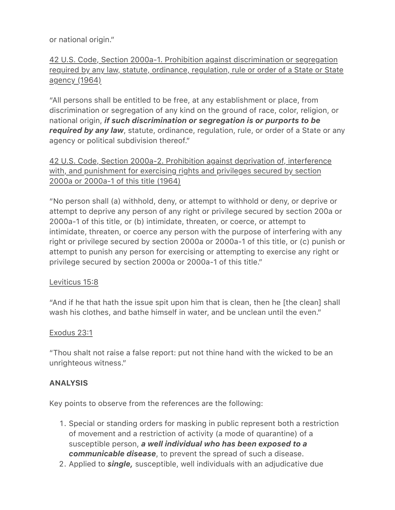or national origin."

42 U.S. Code, Section 2000a-1. Prohibition against discrimination or segregation required by any law, statute, ordinance, regulation, rule or order of a State or State agency (1964)

"All persons shall be entitled to be free, at any establishment or place, from discrimination or segregation of any kind on the ground of race, color, religion, or national origin, *if such discrimination or segregation is or purports to be required by any law*, statute, ordinance, regulation, rule, or order of a State or any agency or political subdivision thereof."

42 U.S. Code, Section 2000a-2. Prohibition against deprivation of, interference with, and punishment for exercising rights and privileges secured by section 2000a or 2000a-1 of this title (1964)

"No person shall (a) withhold, deny, or attempt to withhold or deny, or deprive or attempt to deprive any person of any right or privilege secured by section 200a or 2000a-1 of this title, or (b) intimidate, threaten, or coerce, or attempt to intimidate, threaten, or coerce any person with the purpose of interfering with any right or privilege secured by section 2000a or 2000a-1 of this title, or (c) punish or attempt to punish any person for exercising or attempting to exercise any right or privilege secured by section 2000a or 2000a-1 of this title."

#### Leviticus 15:8

"And if he that hath the issue spit upon him that is clean, then he [the clean] shall wash his clothes, and bathe himself in water, and be unclean until the even."

#### Exodus 23:1

"Thou shalt not raise a false report: put not thine hand with the wicked to be an unrighteous witness."

#### ANALYSIS

Key points to observe from the references are the following:

- 1. Special or standing orders for masking in public represent both a restriction of movement and a restriction of activity (a mode of quarantine) of a susceptible person, *a well individual who has been exposed to a communicable disease*, to prevent the spread of such a disease.
- 2. Applied to *single,* susceptible, well individuals with an adjudicative due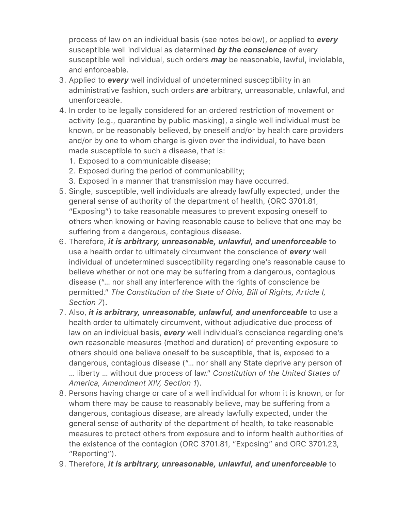process of law on an individual basis (see notes below), or applied to *every* susceptible well individual as determined *by the conscience* of every susceptible well individual, such orders *may* be reasonable, lawful, inviolable, and enforceable.

- 3. Applied to *every* well individual of undetermined susceptibility in an administrative fashion, such orders *are* arbitrary, unreasonable, unlawful, and unenforceable.
- 4. In order to be legally considered for an ordered restriction of movement or activity (e.g., quarantine by public masking), a single well individual must be known, or be reasonably believed, by oneself and/or by health care providers and/or by one to whom charge is given over the individual, to have been made susceptible to such a disease, that is:
	- 1. Exposed to a communicable disease;
	- 2. Exposed during the period of communicability;
	- 3. Exposed in a manner that transmission may have occurred.
- 5. Single, susceptible, well individuals are already lawfully expected, under the general sense of authority of the department of health, (ORC 3701.81, "Exposing") to take reasonable measures to prevent exposing oneself to others when knowing or having reasonable cause to believe that one may be suffering from a dangerous, contagious disease.
- 6. Therefore, *it is arbitrary, unreasonable, unlawful, and unenforceable* to use a health order to ultimately circumvent the conscience of *every* well individual of undetermined susceptibility regarding one's reasonable cause to believe whether or not one may be suffering from a dangerous, contagious disease ("… nor shall any interference with the rights of conscience be permitted." *The Constitution of the State of Ohio, Bill of Rights, Article I, Section 7*).
- 7. Also, *it is arbitrary, unreasonable, unlawful, and unenforceable* to use a health order to ultimately circumvent, without adjudicative due process of law on an individual basis, *every* well individual's conscience regarding one's own reasonable measures (method and duration) of preventing exposure to others should one believe oneself to be susceptible, that is, exposed to a dangerous, contagious disease ("… nor shall any State deprive any person of … liberty … without due process of law." *Constitution of the United States of America, Amendment XIV, Section 1*).
- 8. Persons having charge or care of a well individual for whom it is known, or for whom there may be cause to reasonably believe, may be suffering from a dangerous, contagious disease, are already lawfully expected, under the general sense of authority of the department of health, to take reasonable measures to protect others from exposure and to inform health authorities of the existence of the contagion (ORC 3701.81, "Exposing" and ORC 3701.23, "Reporting").
- 9. Therefore, *it is arbitrary, unreasonable, unlawful, and unenforceable* to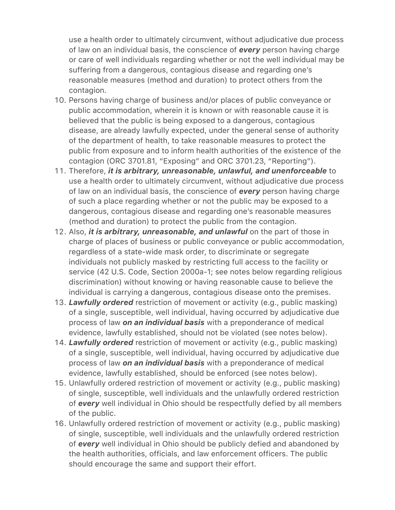use a health order to ultimately circumvent, without adjudicative due process of law on an individual basis, the conscience of *every* person having charge or care of well individuals regarding whether or not the well individual may be suffering from a dangerous, contagious disease and regarding one's reasonable measures (method and duration) to protect others from the contagion.

- 10. Persons having charge of business and/or places of public conveyance or public accommodation, wherein it is known or with reasonable cause it is believed that the public is being exposed to a dangerous, contagious disease, are already lawfully expected, under the general sense of authority of the department of health, to take reasonable measures to protect the public from exposure and to inform health authorities of the existence of the contagion (ORC 3701.81, "Exposing" and ORC 3701.23, "Reporting").
- 11. Therefore, *it is arbitrary, unreasonable, unlawful, and unenforceable* to use a health order to ultimately circumvent, without adjudicative due process of law on an individual basis, the conscience of *every* person having charge of such a place regarding whether or not the public may be exposed to a dangerous, contagious disease and regarding one's reasonable measures (method and duration) to protect the public from the contagion.
- 12. Also, *it is arbitrary, unreasonable, and unlawful* on the part of those in charge of places of business or public conveyance or public accommodation, regardless of a state-wide mask order, to discriminate or segregate individuals not publicly masked by restricting full access to the facility or service (42 U.S. Code, Section 2000a-1; see notes below regarding religious discrimination) without knowing or having reasonable cause to believe the individual is carrying a dangerous, contagious disease onto the premises.
- 13. *Lawfully ordered* restriction of movement or activity (e.g., public masking) of a single, susceptible, well individual, having occurred by adjudicative due process of law *on an individual basis* with a preponderance of medical evidence, lawfully established, should not be violated (see notes below).
- 14. *Lawfully ordered* restriction of movement or activity (e.g., public masking) of a single, susceptible, well individual, having occurred by adjudicative due process of law *on an individual basis* with a preponderance of medical evidence, lawfully established, should be enforced (see notes below).
- 15. Unlawfully ordered restriction of movement or activity (e.g., public masking) of single, susceptible, well individuals and the unlawfully ordered restriction of *every* well individual in Ohio should be respectfully defied by all members of the public.
- 16. Unlawfully ordered restriction of movement or activity (e.g., public masking) of single, susceptible, well individuals and the unlawfully ordered restriction of *every* well individual in Ohio should be publicly defied and abandoned by the health authorities, officials, and law enforcement officers. The public should encourage the same and support their effort.